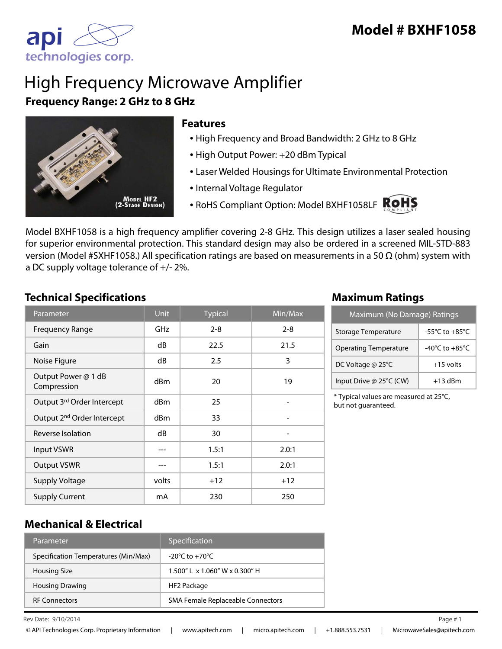

# High Frequency Microwave Amplifier **Frequency Range: 2 GHz to 8 GHz**



#### **Features**

- High Frequency and Broad Bandwidth: 2 GHz to 8 GHz
- High Output Power: +20 dBm Typical
- Laser Welded Housings for Ultimate Environmental Protection
- Internal Voltage Regulator
- RoHS Compliant Option: Model BXHF1058LF ROHS



Model BXHF1058 is a high frequency amplifier covering 2-8 GHz. This design utilizes a laser sealed housing for superior environmental protection. This standard design may also be ordered in a screened MIL-STD-883 version (Model #SXHF1058.) All specification ratings are based on measurements in a 50 Ω (ohm) system with a DC supply voltage tolerance of +/- 2%.

### **Technical Specifications Maximum Ratings**

| Parameter                              | <b>Unit</b> | <b>Typical</b> | $\overline{\textsf{Min}}$ /Max |
|----------------------------------------|-------------|----------------|--------------------------------|
| <b>Frequency Range</b>                 | <b>GHz</b>  | $2 - 8$        | $2 - 8$                        |
| Gain                                   | dB          | 22.5           | 21.5                           |
| Noise Figure                           | dB          | 2.5            | 3                              |
| Output Power @ 1 dB<br>Compression     | dBm         | 20             | 19                             |
| Output 3rd Order Intercept             | dBm         | 25             |                                |
| Output 2 <sup>nd</sup> Order Intercept | dBm         | 33             |                                |
| Reverse Isolation                      | dB          | 30             |                                |
| <b>Input VSWR</b>                      | ---         | 1.5:1          | 2.0:1                          |
| <b>Output VSWR</b>                     | ---         | 1.5:1          | 2.0:1                          |
| <b>Supply Voltage</b>                  | volts       | $+12$          | $+12$                          |
| <b>Supply Current</b>                  | mA          | 230            | 250                            |

| Maximum (No Damage) Ratings  |                                      |  |
|------------------------------|--------------------------------------|--|
| Storage Temperature          | -55 $^{\circ}$ C to +85 $^{\circ}$ C |  |
| <b>Operating Temperature</b> | -40 $^{\circ}$ C to +85 $^{\circ}$ C |  |
| DC Voltage @ 25°C            | $+15$ volts                          |  |
| Input Drive @ 25°C (CW)      | $+13$ dBm                            |  |

\* Typical values are measured at 25°C, but not guaranteed.

### **Mechanical & Electrical**

| Parameter                            | Specification                        |
|--------------------------------------|--------------------------------------|
| Specification Temperatures (Min/Max) | $-20^{\circ}$ C to $+70^{\circ}$ C   |
| <b>Housing Size</b>                  | $1.500''$   x $1.060''$ W x 0.300" H |
| <b>Housing Drawing</b>               | HF2 Package                          |
| <b>RF Connectors</b>                 | SMA Female Replaceable Connectors    |

Rev Date:  $9/10/2014$  Page #1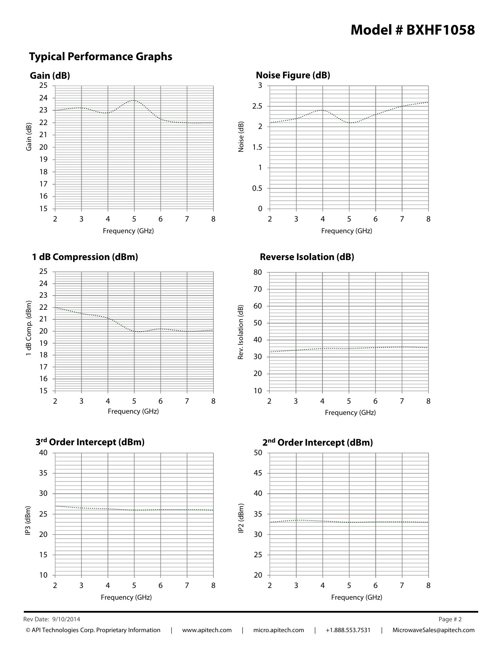# **Model # BXHF1058**

### **Typical Performance Graphs**



 $\mathsf{Rev}\,\mathsf{Date:}\,9/10/2014$  Page # 2